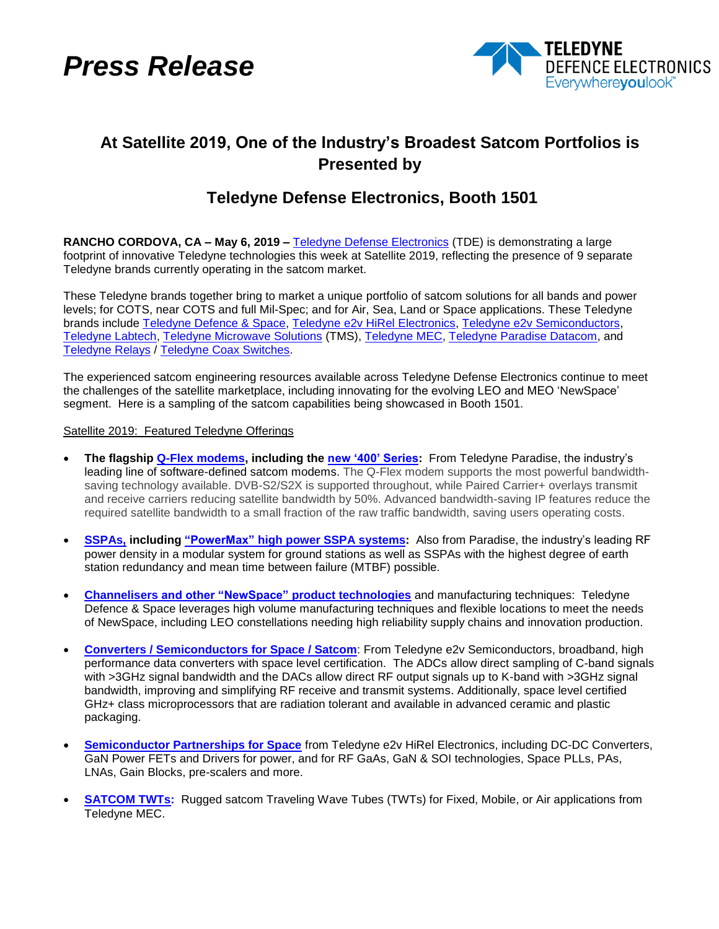*Press Release*



## **At Satellite 2019, One of the Industry's Broadest Satcom Portfolios is Presented by**

## **Teledyne Defense Electronics, Booth 1501**

**RANCHO CORDOVA, CA – May 6, 2019 –** [Teledyne Defense Electronics](https://www.teledynedefenseelectronics.com/TDE_Products/Pages/Satcom.aspx) (TDE) is demonstrating a large footprint of innovative Teledyne technologies this week at Satellite 2019, reflecting the presence of 9 separate Teledyne brands currently operating in the satcom market.

These Teledyne brands together bring to market a unique portfolio of satcom solutions for all bands and power levels; for COTS, near COTS and full Mil-Spec; and for Air, Sea, Land or Space applications. These Teledyne brands include [Teledyne Defence & Space,](http://www.teledynemicrowave.com/index.php/teledyne-microwave-our-businesses/teledyne-defence) [Teledyne e2v HiRel](https://www.teledynedefenseelectronics.com/e2vhrel/Pages/About%20Us.aspx) Electronics, [Teledyne e2v Semiconductors,](https://www.teledyne-e2v.com/products/semiconductors/) [Teledyne Labtech,](http://www.teledynemicrowave.com/index.php/teledyne-microwave-our-businesses/teledyne-labtech) [Teledyne Microwave Solutions](http://www.teledynemicrowave.com/teledyne-microwave-satcom-products) (TMS), [Teledyne MEC,](http://www.teledynemicrowave.com/tw-rf-twt-products) [Teledyne Paradise Datacom,](http://www.paradisedata.com/) and [Teledyne Relays](https://www.teledynerelays.com/) / [Teledyne Coax Switches.](https://www.teledynecoax.com/)

The experienced satcom engineering resources available across Teledyne Defense Electronics continue to meet the challenges of the satellite marketplace, including innovating for the evolving LEO and MEO 'NewSpace' segment. Here is a sampling of the satcom capabilities being showcased in Booth 1501.

## Satellite 2019: Featured Teledyne Offerings

- **The flagship [Q-Flex modems,](http://www.paradisedata.com/index.php/products/satellite-modems/) including the [new '400' Series:](http://www.paradisedata.com/files/6715/4445/4741/215635_20181207.pdf)** From Teledyne Paradise, the industry's leading line of software-defined satcom modems. The Q-Flex modem supports the most powerful bandwidthsaving technology available. DVB-S2/S2X is supported throughout, while Paired Carrier+ overlays transmit and receive carriers reducing satellite bandwidth by 50%. Advanced bandwidth-saving IP features reduce the required satellite bandwidth to a small fraction of the raw traffic bandwidth, saving users operating costs.
- **[SSPAs,](http://www.paradisedata.com/index.php/products/sspa-systems/) including ["PowerMax" high power SSPA systems](http://www.paradisedata.com/index.php/products/powermax/):** Also from Paradise, the industry's leading RF power density in a modular system for ground stations as well as SSPAs with the highest degree of earth station redundancy and mean time between failure (MTBF) possible.
- **Channelisers [and other "NewSpace"](http://teledynedefence.co.uk/index.php/teledyne-defense-products/channelisers) product technologies** and manufacturing techniques: Teledyne Defence & Space leverages high volume manufacturing techniques and flexible locations to meet the needs of NewSpace, including LEO constellations needing high reliability supply chains and innovation production.
- **[Converters / Semiconductors for Space / Satcom](https://www.teledyne-e2v.com/products/semiconductors/)**: From Teledyne e2v Semiconductors, broadband, high performance data converters with space level certification. The ADCs allow direct sampling of C-band signals with >3GHz signal bandwidth and the DACs allow direct RF output signals up to K-band with >3GHz signal bandwidth, improving and simplifying RF receive and transmit systems. Additionally, space level certified GHz+ class microprocessors that are radiation tolerant and available in advanced ceramic and plastic packaging.
- **[Semiconductor Partnerships for Space](https://www.teledynedefenseelectronics.com/e2vhrel/Pages/About%20Us.aspx)** from Teledyne e2v HiRel Electronics, including DC-DC Converters, GaN Power FETs and Drivers for power, and for RF GaAs, GaN & SOI technologies, Space PLLs, PAs, LNAs, Gain Blocks, pre-scalers and more.
- **SATCOM TWTs:** Rugged satcom Traveling Wave Tubes (TWTs) for Fixed, Mobile, or Air applications from Teledyne MEC.